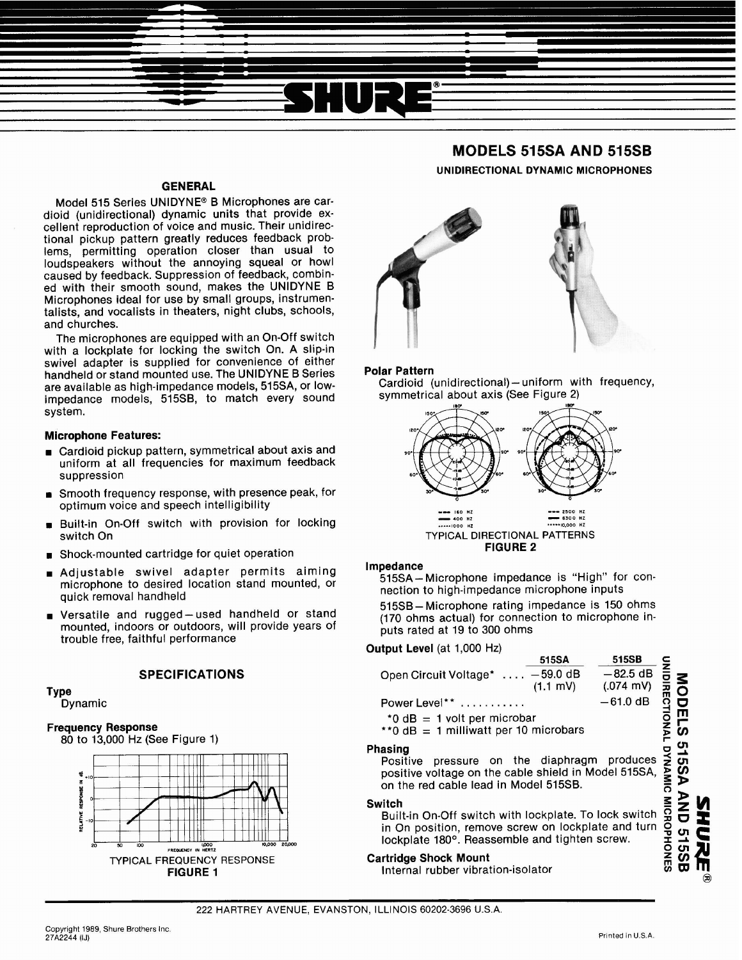# GENERAL

Model 515 Series UNIDYNE<sup>®</sup> B Microphones are cardioid (unidirectional) dynamic units that provide excellent reproduction of voice and music. Their unidirectional pickup pattern greatly reduces feedback problems, permitting operation closer than usual to loudspeakers without the annoying squeal or howl caused by feedback. Suppression of feedback, combined with their smooth sound, makes the UNIDYNE B Microphones ideal for use by small groups, instrumentalists, and vocalists in theaters, night clubs, schools, and churches.

The microphones are equipped with an On-Off switch with a lockplate for locking the switch On. A slip-in swivel adapter is supplied for convenience of either handheld or stand mounted use. The UNIDYNE B Series are available as high-impedance models, 515SA, or lowimpedance models, 515SB, to match every sound system.

## Microphone Features:

- **<sup>w</sup>**Cardioid pickup pattern, symmetrical about axis and uniform at all frequencies for maximum feedback suppression
- **Smooth frequency response, with presence peak, for** optimum voice and speech intelligibility
- Built-in On-Off switch with provision for locking switch On
- **<sup>w</sup>**Shock-mounted cartridge for quiet operation
- **<sup>w</sup>**Adjustable swivel adapter permits aiming microphone to desired location stand mounted, or quick removal handheld
- **<sup>w</sup>**Versatile and rugged- used handheld or stand mounted, indoors or outdoors, will provide years of trouble free, faithful performance

## **SPECIFICATIONS**

Type Dynamic

# Frequency Response

80 to 13,000 Hz (See Figure 1)



# **MODELS 515SA AND 515SB UNIDIRECTIONAL DYNAMIC MICROPHONES**



## Polar Pattern

Cardioid (unidirectional)-uniform with frequency, symmetrical about axis (See Figure 2)



## Impedance

515SA-Microphone impedance is "High" for connection to high-impedance microphone inputs

515SB-Microphone rating impedance is 150 ohms (170 ohms actual) for connection to microphone inputs rated at 19 to 300 ohms

## Output Level (at 1,000 Hz)



## Switch

of the red caste idea in model shock.<br>Built-in On-Off switch with lockplate. To lock switch  $\frac{1}{20}$ <br>in On position, remove screw on lockplate and turn  $\frac{1}{20}$  on<br>lockplate 180°. Reassemble and tighten screw.<br>Internal in On position, remove screw on lockplate and turn lockplate 180°. Reassemble and tighten screw.

## Cartridge Shock Mount

Internal rubber vibration-isolator **and a contract of a contract of a**